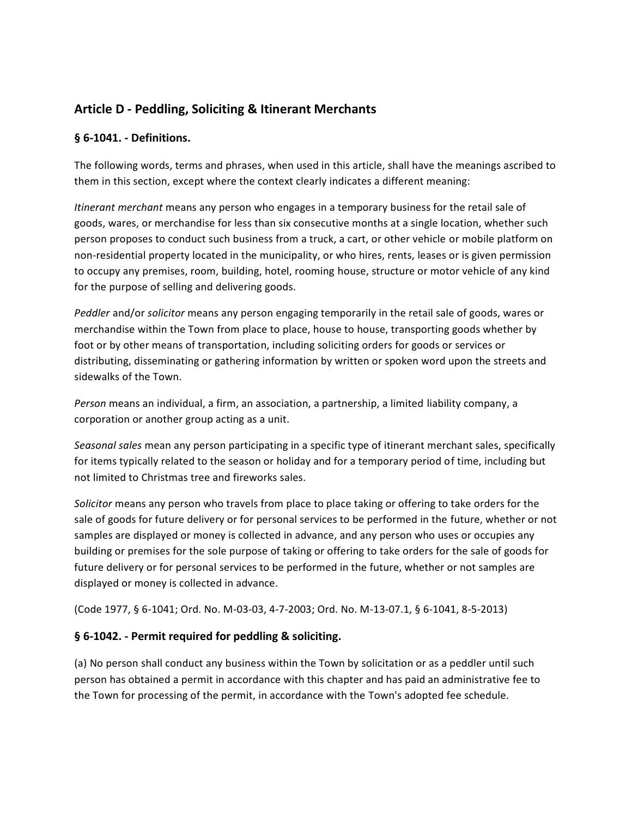# **Article D - Peddling, Soliciting & Itinerant Merchants**

### **§ 6-1041. - Definitions.**

The following words, terms and phrases, when used in this article, shall have the meanings ascribed to them in this section, except where the context clearly indicates a different meaning:

*Itinerant merchant* means any person who engages in a temporary business for the retail sale of goods, wares, or merchandise for less than six consecutive months at a single location, whether such person proposes to conduct such business from a truck, a cart, or other vehicle or mobile platform on non-residential property located in the municipality, or who hires, rents, leases or is given permission to occupy any premises, room, building, hotel, rooming house, structure or motor vehicle of any kind for the purpose of selling and delivering goods.

*Peddler* and/or *solicitor* means any person engaging temporarily in the retail sale of goods, wares or merchandise within the Town from place to place, house to house, transporting goods whether by foot or by other means of transportation, including soliciting orders for goods or services or distributing, disseminating or gathering information by written or spoken word upon the streets and sidewalks of the Town.

*Person* means an individual, a firm, an association, a partnership, a limited liability company, a corporation or another group acting as a unit.

*Seasonal sales* mean any person participating in a specific type of itinerant merchant sales, specifically for items typically related to the season or holiday and for a temporary period of time, including but not limited to Christmas tree and fireworks sales.

*Solicitor* means any person who travels from place to place taking or offering to take orders for the sale of goods for future delivery or for personal services to be performed in the future, whether or not samples are displayed or money is collected in advance, and any person who uses or occupies any building or premises for the sole purpose of taking or offering to take orders for the sale of goods for future delivery or for personal services to be performed in the future, whether or not samples are displayed or money is collected in advance.

(Code 1977, § 6-1041; Ord. No. M-03-03, 4-7-2003; Ord. No. M-13-07.1, § 6-1041, 8-5-2013)

#### **§ 6-1042. - Permit required for peddling & soliciting.**

(a) No person shall conduct any business within the Town by solicitation or as a peddler until such person has obtained a permit in accordance with this chapter and has paid an administrative fee to the Town for processing of the permit, in accordance with the Town's adopted fee schedule.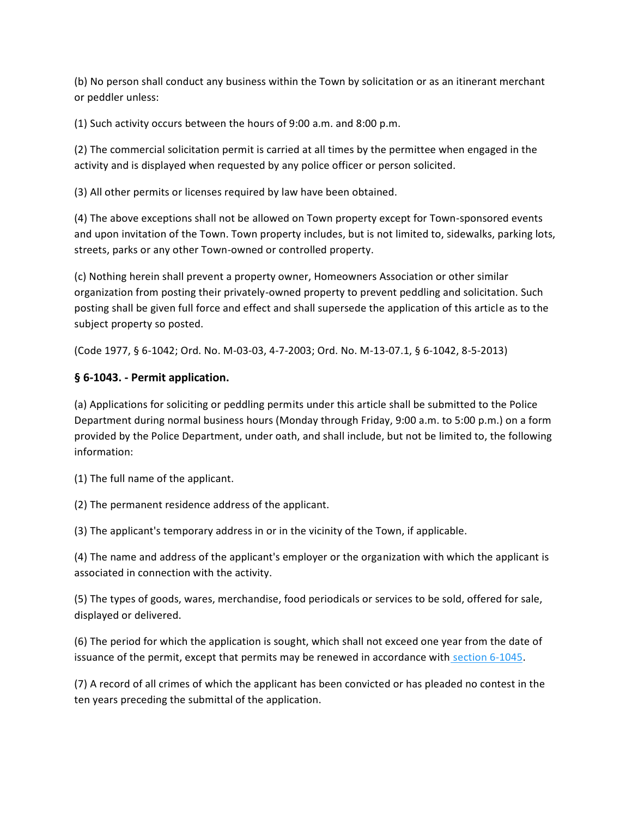(b) No person shall conduct any business within the Town by solicitation or as an itinerant merchant or peddler unless:

(1) Such activity occurs between the hours of 9:00 a.m. and 8:00 p.m.

(2) The commercial solicitation permit is carried at all times by the permittee when engaged in the activity and is displayed when requested by any police officer or person solicited.

(3) All other permits or licenses required by law have been obtained.

(4) The above exceptions shall not be allowed on Town property except for Town-sponsored events and upon invitation of the Town. Town property includes, but is not limited to, sidewalks, parking lots, streets, parks or any other Town-owned or controlled property.

(c) Nothing herein shall prevent a property owner, Homeowners Association or other similar organization from posting their privately-owned property to prevent peddling and solicitation. Such posting shall be given full force and effect and shall supersede the application of this article as to the subject property so posted.

(Code 1977, § 6-1042; Ord. No. M-03-03, 4-7-2003; Ord. No. M-13-07.1, § 6-1042, 8-5-2013)

# **§ 6-1043. - Permit application.**

(a) Applications for soliciting or peddling permits under this article shall be submitted to the Police Department during normal business hours (Monday through Friday, 9:00 a.m. to 5:00 p.m.) on a form provided by the Police Department, under oath, and shall include, but not be limited to, the following information:

(1) The full name of the applicant.

(2) The permanent residence address of the applicant.

(3) The applicant's temporary address in or in the vicinity of the Town, if applicable.

(4) The name and address of the applicant's employer or the organization with which the applicant is associated in connection with the activity.

(5) The types of goods, wares, merchandise, food periodicals or services to be sold, offered for sale, displayed or delivered.

(6) The period for which the application is sought, which shall not exceed one year from the date of issuance of the permit, except that permits may be renewed in accordance with [section 6-1045.](https://library.municode.com/nc/fuquay-varina/codes/code_of_ordinances?nodeId=COOR_PT6LIRE_CH1BUTR_ARTDPESOITME_S6-1045PERE)

(7) A record of all crimes of which the applicant has been convicted or has pleaded no contest in the ten years preceding the submittal of the application.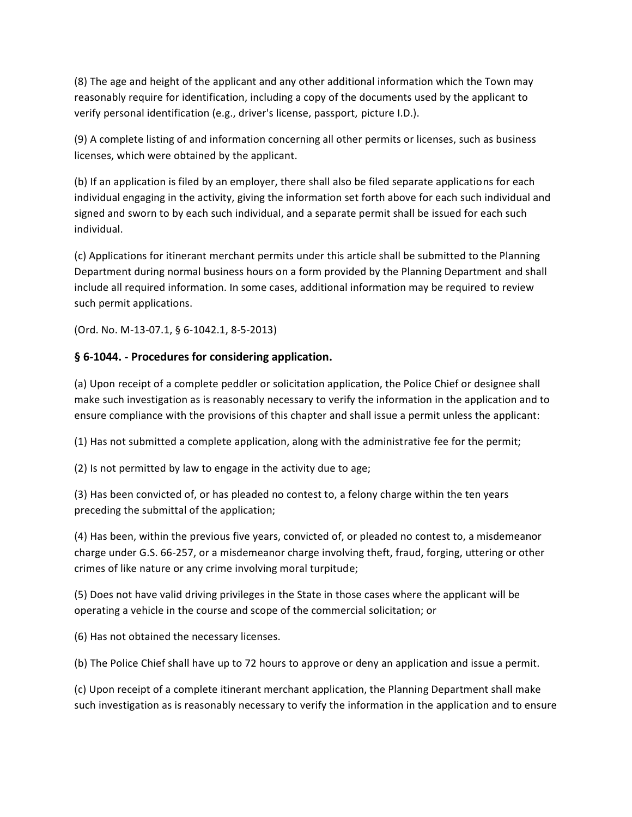(8) The age and height of the applicant and any other additional information which the Town may reasonably require for identification, including a copy of the documents used by the applicant to verify personal identification (e.g., driver's license, passport, picture I.D.).

(9) A complete listing of and information concerning all other permits or licenses, such as business licenses, which were obtained by the applicant.

(b) If an application is filed by an employer, there shall also be filed separate applications for each individual engaging in the activity, giving the information set forth above for each such individual and signed and sworn to by each such individual, and a separate permit shall be issued for each such individual.

(c) Applications for itinerant merchant permits under this article shall be submitted to the Planning Department during normal business hours on a form provided by the Planning Department and shall include all required information. In some cases, additional information may be required to review such permit applications.

(Ord. No. M-13-07.1, § 6-1042.1, 8-5-2013)

### **§ 6-1044. - Procedures for considering application.**

(a) Upon receipt of a complete peddler or solicitation application, the Police Chief or designee shall make such investigation as is reasonably necessary to verify the information in the application and to ensure compliance with the provisions of this chapter and shall issue a permit unless the applicant:

(1) Has not submitted a complete application, along with the administrative fee for the permit;

(2) Is not permitted by law to engage in the activity due to age;

(3) Has been convicted of, or has pleaded no contest to, a felony charge within the ten years preceding the submittal of the application;

(4) Has been, within the previous five years, convicted of, or pleaded no contest to, a misdemeanor charge under G.S. 66-257, or a misdemeanor charge involving theft, fraud, forging, uttering or other crimes of like nature or any crime involving moral turpitude;

(5) Does not have valid driving privileges in the State in those cases where the applicant will be operating a vehicle in the course and scope of the commercial solicitation; or

(6) Has not obtained the necessary licenses.

(b) The Police Chief shall have up to 72 hours to approve or deny an application and issue a permit.

(c) Upon receipt of a complete itinerant merchant application, the Planning Department shall make such investigation as is reasonably necessary to verify the information in the application and to ensure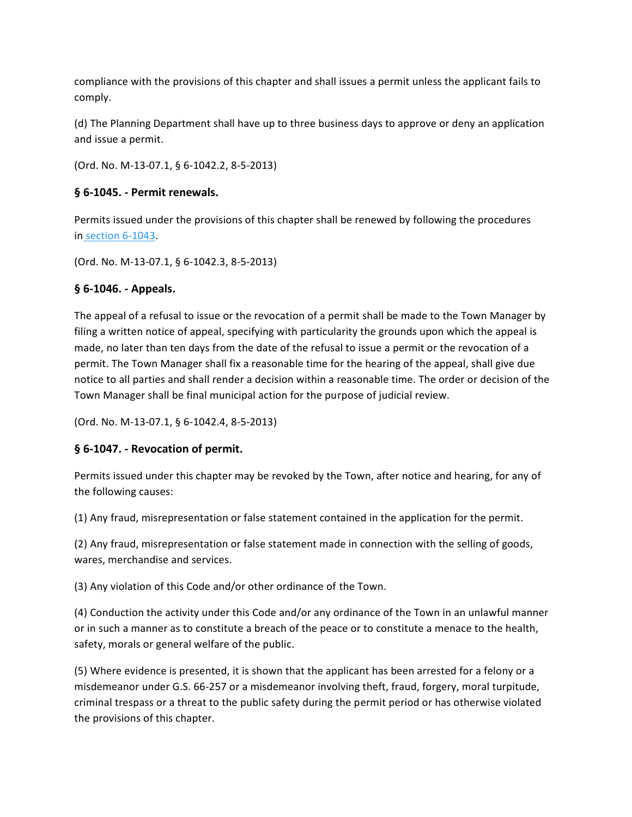compliance with the provisions of this chapter and shall issues a permit unless the applicant fails to comply.

(d) The Planning Department shall have up to three business days to approve or deny an application and issue a permit.

(Ord. No. M-13-07.1, § 6-1042.2, 8-5-2013)

#### **§ 6-1045. - Permit renewals.**

Permits issued under the provisions of this chapter shall be renewed by following the procedures in [section 6-1043.](https://library.municode.com/nc/fuquay-varina/codes/code_of_ordinances?nodeId=COOR_PT6LIRE_CH1BUTR_ARTDPESOITME_S6-1043PEAP)

(Ord. No. M-13-07.1, § 6-1042.3, 8-5-2013)

# **§ 6-1046. - Appeals.**

The appeal of a refusal to issue or the revocation of a permit shall be made to the Town Manager by filing a written notice of appeal, specifying with particularity the grounds upon which the appeal is made, no later than ten days from the date of the refusal to issue a permit or the revocation of a permit. The Town Manager shall fix a reasonable time for the hearing of the appeal, shall give due notice to all parties and shall render a decision within a reasonable time. The order or decision of the Town Manager shall be final municipal action for the purpose of judicial review.

(Ord. No. M-13-07.1, § 6-1042.4, 8-5-2013)

# **§ 6-1047. - Revocation of permit.**

Permits issued under this chapter may be revoked by the Town, after notice and hearing, for any of the following causes:

(1) Any fraud, misrepresentation or false statement contained in the application for the permit.

(2) Any fraud, misrepresentation or false statement made in connection with the selling of goods, wares, merchandise and services.

(3) Any violation of this Code and/or other ordinance of the Town.

(4) Conduction the activity under this Code and/or any ordinance of the Town in an unlawful manner or in such a manner as to constitute a breach of the peace or to constitute a menace to the health, safety, morals or general welfare of the public.

(5) Where evidence is presented, it is shown that the applicant has been arrested for a felony or a misdemeanor under G.S. 66-257 or a misdemeanor involving theft, fraud, forgery, moral turpitude, criminal trespass or a threat to the public safety during the permit period or has otherwise violated the provisions of this chapter.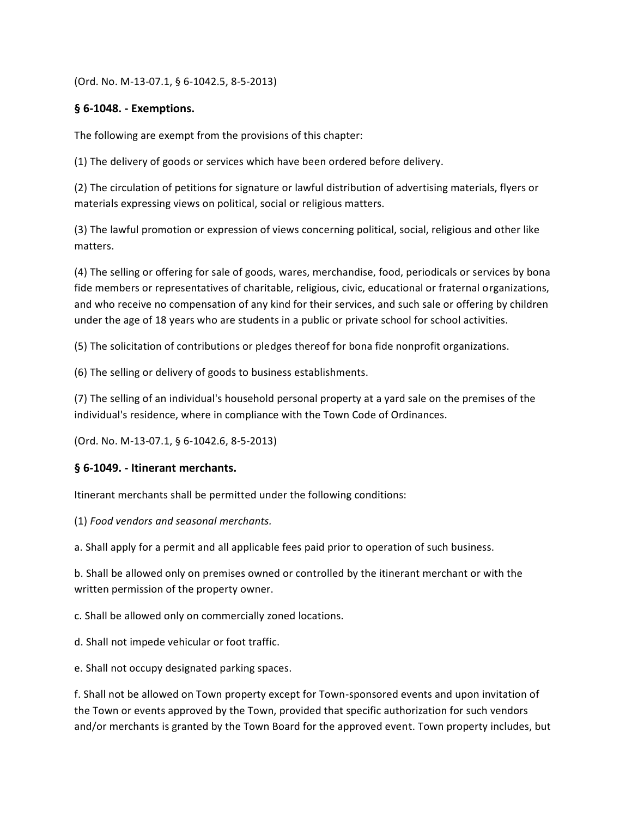(Ord. No. M-13-07.1, § 6-1042.5, 8-5-2013)

#### **§ 6-1048. - Exemptions.**

The following are exempt from the provisions of this chapter:

(1) The delivery of goods or services which have been ordered before delivery.

(2) The circulation of petitions for signature or lawful distribution of advertising materials, flyers or materials expressing views on political, social or religious matters.

(3) The lawful promotion or expression of views concerning political, social, religious and other like matters.

(4) The selling or offering for sale of goods, wares, merchandise, food, periodicals or services by bona fide members or representatives of charitable, religious, civic, educational or fraternal organizations, and who receive no compensation of any kind for their services, and such sale or offering by children under the age of 18 years who are students in a public or private school for school activities.

(5) The solicitation of contributions or pledges thereof for bona fide nonprofit organizations.

(6) The selling or delivery of goods to business establishments.

(7) The selling of an individual's household personal property at a yard sale on the premises of the individual's residence, where in compliance with the Town Code of Ordinances.

(Ord. No. M-13-07.1, § 6-1042.6, 8-5-2013)

#### **§ 6-1049. - Itinerant merchants.**

Itinerant merchants shall be permitted under the following conditions:

(1) *Food vendors and seasonal merchants.*

a. Shall apply for a permit and all applicable fees paid prior to operation of such business.

b. Shall be allowed only on premises owned or controlled by the itinerant merchant or with the written permission of the property owner.

c. Shall be allowed only on commercially zoned locations.

d. Shall not impede vehicular or foot traffic.

e. Shall not occupy designated parking spaces.

f. Shall not be allowed on Town property except for Town-sponsored events and upon invitation of the Town or events approved by the Town, provided that specific authorization for such vendors and/or merchants is granted by the Town Board for the approved event. Town property includes, but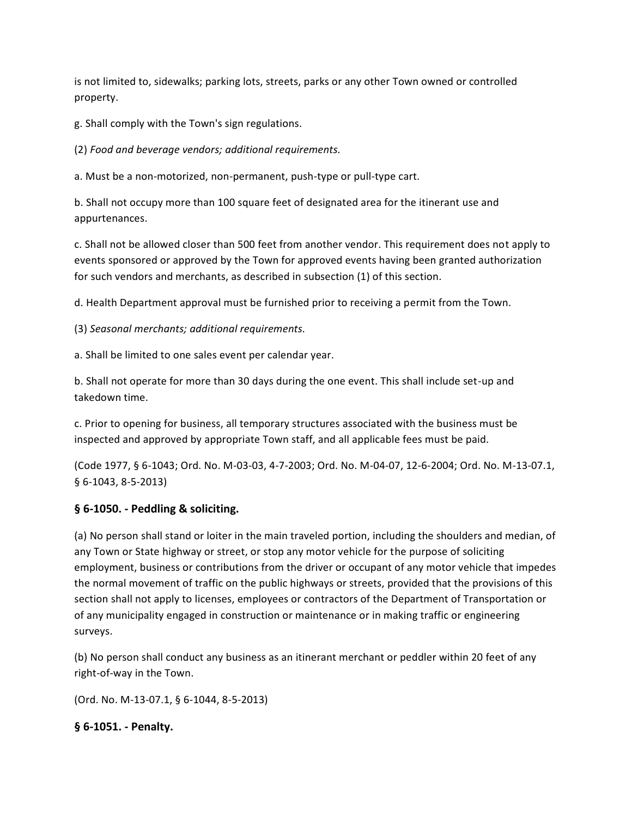is not limited to, sidewalks; parking lots, streets, parks or any other Town owned or controlled property.

g. Shall comply with the Town's sign regulations.

(2) *Food and beverage vendors; additional requirements.*

a. Must be a non-motorized, non-permanent, push-type or pull-type cart.

b. Shall not occupy more than 100 square feet of designated area for the itinerant use and appurtenances.

c. Shall not be allowed closer than 500 feet from another vendor. This requirement does not apply to events sponsored or approved by the Town for approved events having been granted authorization for such vendors and merchants, as described in subsection (1) of this section.

d. Health Department approval must be furnished prior to receiving a permit from the Town.

(3) *Seasonal merchants; additional requirements.*

a. Shall be limited to one sales event per calendar year.

b. Shall not operate for more than 30 days during the one event. This shall include set-up and takedown time.

c. Prior to opening for business, all temporary structures associated with the business must be inspected and approved by appropriate Town staff, and all applicable fees must be paid.

(Code 1977, § 6-1043; Ord. No. M-03-03, 4-7-2003; Ord. No. M-04-07, 12-6-2004; Ord. No. M-13-07.1, § 6-1043, 8-5-2013)

# **§ 6-1050. - Peddling & soliciting.**

(a) No person shall stand or loiter in the main traveled portion, including the shoulders and median, of any Town or State highway or street, or stop any motor vehicle for the purpose of soliciting employment, business or contributions from the driver or occupant of any motor vehicle that impedes the normal movement of traffic on the public highways or streets, provided that the provisions of this section shall not apply to licenses, employees or contractors of the Department of Transportation or of any municipality engaged in construction or maintenance or in making traffic or engineering surveys.

(b) No person shall conduct any business as an itinerant merchant or peddler within 20 feet of any right-of-way in the Town.

(Ord. No. M-13-07.1, § 6-1044, 8-5-2013)

**§ 6-1051. - Penalty.**